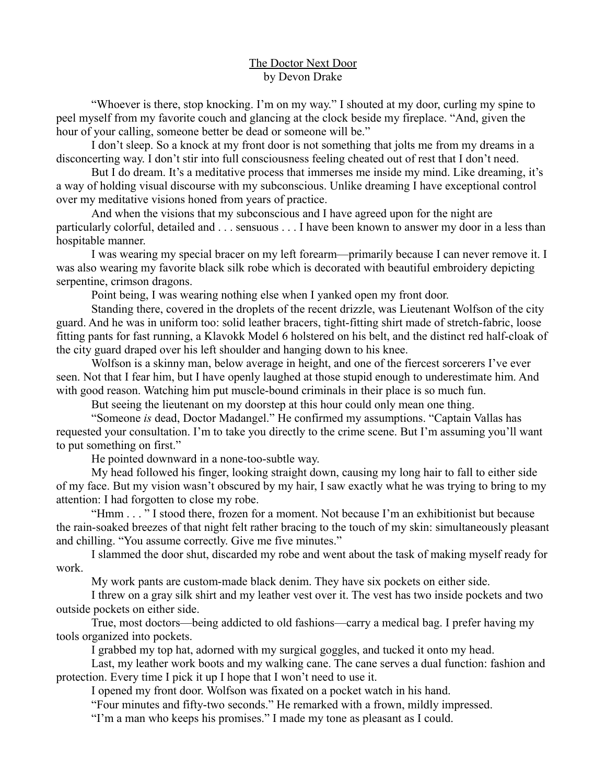## The Doctor Next Door by Devon Drake

"Whoever is there, stop knocking. I'm on my way." I shouted at my door, curling my spine to peel myself from my favorite couch and glancing at the clock beside my fireplace. "And, given the hour of your calling, someone better be dead or someone will be."

I don't sleep. So a knock at my front door is not something that jolts me from my dreams in a disconcerting way. I don't stir into full consciousness feeling cheated out of rest that I don't need.

But I do dream. It's a meditative process that immerses me inside my mind. Like dreaming, it's a way of holding visual discourse with my subconscious. Unlike dreaming I have exceptional control over my meditative visions honed from years of practice.

And when the visions that my subconscious and I have agreed upon for the night are particularly colorful, detailed and . . . sensuous . . . I have been known to answer my door in a less than hospitable manner.

I was wearing my special bracer on my left forearm—primarily because I can never remove it. I was also wearing my favorite black silk robe which is decorated with beautiful embroidery depicting serpentine, crimson dragons.

Point being, I was wearing nothing else when I yanked open my front door.

Standing there, covered in the droplets of the recent drizzle, was Lieutenant Wolfson of the city guard. And he was in uniform too: solid leather bracers, tight-fitting shirt made of stretch-fabric, loose fitting pants for fast running, a Klavokk Model 6 holstered on his belt, and the distinct red half-cloak of the city guard draped over his left shoulder and hanging down to his knee.

Wolfson is a skinny man, below average in height, and one of the fiercest sorcerers I've ever seen. Not that I fear him, but I have openly laughed at those stupid enough to underestimate him. And with good reason. Watching him put muscle-bound criminals in their place is so much fun.

But seeing the lieutenant on my doorstep at this hour could only mean one thing.

"Someone *is* dead, Doctor Madangel." He confirmed my assumptions. "Captain Vallas has requested your consultation. I'm to take you directly to the crime scene. But I'm assuming you'll want to put something on first."

He pointed downward in a none-too-subtle way.

My head followed his finger, looking straight down, causing my long hair to fall to either side of my face. But my vision wasn't obscured by my hair, I saw exactly what he was trying to bring to my attention: I had forgotten to close my robe.

"Hmm . . . " I stood there, frozen for a moment. Not because I'm an exhibitionist but because the rain-soaked breezes of that night felt rather bracing to the touch of my skin: simultaneously pleasant and chilling. "You assume correctly. Give me five minutes."

I slammed the door shut, discarded my robe and went about the task of making myself ready for work.

My work pants are custom-made black denim. They have six pockets on either side.

I threw on a gray silk shirt and my leather vest over it. The vest has two inside pockets and two outside pockets on either side.

True, most doctors—being addicted to old fashions—carry a medical bag. I prefer having my tools organized into pockets.

I grabbed my top hat, adorned with my surgical goggles, and tucked it onto my head.

Last, my leather work boots and my walking cane. The cane serves a dual function: fashion and protection. Every time I pick it up I hope that I won't need to use it.

I opened my front door. Wolfson was fixated on a pocket watch in his hand.

"Four minutes and fifty-two seconds." He remarked with a frown, mildly impressed.

"I'm a man who keeps his promises." I made my tone as pleasant as I could.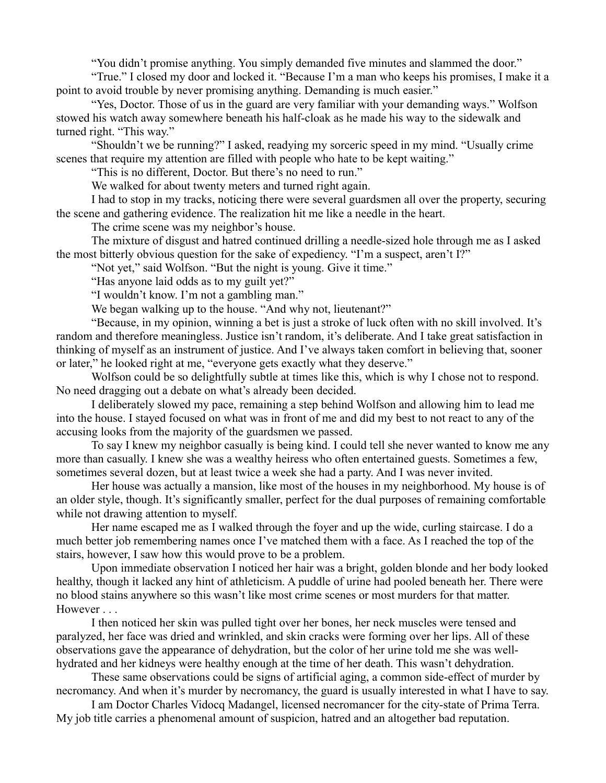"You didn't promise anything. You simply demanded five minutes and slammed the door."

"True." I closed my door and locked it. "Because I'm a man who keeps his promises, I make it a point to avoid trouble by never promising anything. Demanding is much easier."

"Yes, Doctor. Those of us in the guard are very familiar with your demanding ways." Wolfson stowed his watch away somewhere beneath his half-cloak as he made his way to the sidewalk and turned right. "This way."

"Shouldn't we be running?" I asked, readying my sorceric speed in my mind. "Usually crime scenes that require my attention are filled with people who hate to be kept waiting."

"This is no different, Doctor. But there's no need to run."

We walked for about twenty meters and turned right again.

I had to stop in my tracks, noticing there were several guardsmen all over the property, securing the scene and gathering evidence. The realization hit me like a needle in the heart.

The crime scene was my neighbor's house.

The mixture of disgust and hatred continued drilling a needle-sized hole through me as I asked the most bitterly obvious question for the sake of expediency. "I'm a suspect, aren't I?"

"Not yet," said Wolfson. "But the night is young. Give it time."

"Has anyone laid odds as to my guilt yet?"

"I wouldn't know. I'm not a gambling man."

We began walking up to the house. "And why not, lieutenant?"

"Because, in my opinion, winning a bet is just a stroke of luck often with no skill involved. It's random and therefore meaningless. Justice isn't random, it's deliberate. And I take great satisfaction in thinking of myself as an instrument of justice. And I've always taken comfort in believing that, sooner or later," he looked right at me, "everyone gets exactly what they deserve."

Wolfson could be so delightfully subtle at times like this, which is why I chose not to respond. No need dragging out a debate on what's already been decided.

I deliberately slowed my pace, remaining a step behind Wolfson and allowing him to lead me into the house. I stayed focused on what was in front of me and did my best to not react to any of the accusing looks from the majority of the guardsmen we passed.

To say I knew my neighbor casually is being kind. I could tell she never wanted to know me any more than casually. I knew she was a wealthy heiress who often entertained guests. Sometimes a few, sometimes several dozen, but at least twice a week she had a party. And I was never invited.

Her house was actually a mansion, like most of the houses in my neighborhood. My house is of an older style, though. It's significantly smaller, perfect for the dual purposes of remaining comfortable while not drawing attention to myself.

Her name escaped me as I walked through the foyer and up the wide, curling staircase. I do a much better job remembering names once I've matched them with a face. As I reached the top of the stairs, however, I saw how this would prove to be a problem.

Upon immediate observation I noticed her hair was a bright, golden blonde and her body looked healthy, though it lacked any hint of athleticism. A puddle of urine had pooled beneath her. There were no blood stains anywhere so this wasn't like most crime scenes or most murders for that matter. However . . .

I then noticed her skin was pulled tight over her bones, her neck muscles were tensed and paralyzed, her face was dried and wrinkled, and skin cracks were forming over her lips. All of these observations gave the appearance of dehydration, but the color of her urine told me she was wellhydrated and her kidneys were healthy enough at the time of her death. This wasn't dehydration.

These same observations could be signs of artificial aging, a common side-effect of murder by necromancy. And when it's murder by necromancy, the guard is usually interested in what I have to say.

I am Doctor Charles Vidocq Madangel, licensed necromancer for the city-state of Prima Terra. My job title carries a phenomenal amount of suspicion, hatred and an altogether bad reputation.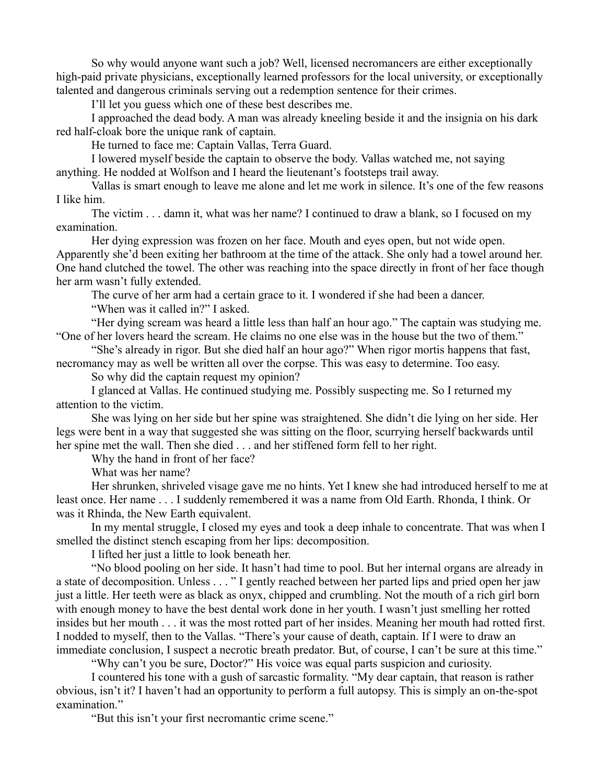So why would anyone want such a job? Well, licensed necromancers are either exceptionally high-paid private physicians, exceptionally learned professors for the local university, or exceptionally talented and dangerous criminals serving out a redemption sentence for their crimes.

I'll let you guess which one of these best describes me.

I approached the dead body. A man was already kneeling beside it and the insignia on his dark red half-cloak bore the unique rank of captain.

He turned to face me: Captain Vallas, Terra Guard.

I lowered myself beside the captain to observe the body. Vallas watched me, not saying anything. He nodded at Wolfson and I heard the lieutenant's footsteps trail away.

Vallas is smart enough to leave me alone and let me work in silence. It's one of the few reasons I like him.

The victim . . . damn it, what was her name? I continued to draw a blank, so I focused on my examination.

Her dying expression was frozen on her face. Mouth and eyes open, but not wide open. Apparently she'd been exiting her bathroom at the time of the attack. She only had a towel around her. One hand clutched the towel. The other was reaching into the space directly in front of her face though her arm wasn't fully extended.

The curve of her arm had a certain grace to it. I wondered if she had been a dancer.

"When was it called in?" I asked.

"Her dying scream was heard a little less than half an hour ago." The captain was studying me. "One of her lovers heard the scream. He claims no one else was in the house but the two of them."

"She's already in rigor. But she died half an hour ago?" When rigor mortis happens that fast, necromancy may as well be written all over the corpse. This was easy to determine. Too easy.

So why did the captain request my opinion?

I glanced at Vallas. He continued studying me. Possibly suspecting me. So I returned my attention to the victim.

She was lying on her side but her spine was straightened. She didn't die lying on her side. Her legs were bent in a way that suggested she was sitting on the floor, scurrying herself backwards until her spine met the wall. Then she died . . . and her stiffened form fell to her right.

Why the hand in front of her face?

What was her name?

Her shrunken, shriveled visage gave me no hints. Yet I knew she had introduced herself to me at least once. Her name . . . I suddenly remembered it was a name from Old Earth. Rhonda, I think. Or was it Rhinda, the New Earth equivalent.

In my mental struggle, I closed my eyes and took a deep inhale to concentrate. That was when I smelled the distinct stench escaping from her lips: decomposition.

I lifted her just a little to look beneath her.

"No blood pooling on her side. It hasn't had time to pool. But her internal organs are already in a state of decomposition. Unless . . . " I gently reached between her parted lips and pried open her jaw just a little. Her teeth were as black as onyx, chipped and crumbling. Not the mouth of a rich girl born with enough money to have the best dental work done in her youth. I wasn't just smelling her rotted insides but her mouth . . . it was the most rotted part of her insides. Meaning her mouth had rotted first. I nodded to myself, then to the Vallas. "There's your cause of death, captain. If I were to draw an immediate conclusion, I suspect a necrotic breath predator. But, of course, I can't be sure at this time."

"Why can't you be sure, Doctor?" His voice was equal parts suspicion and curiosity.

I countered his tone with a gush of sarcastic formality. "My dear captain, that reason is rather obvious, isn't it? I haven't had an opportunity to perform a full autopsy. This is simply an on-the-spot examination."

"But this isn't your first necromantic crime scene."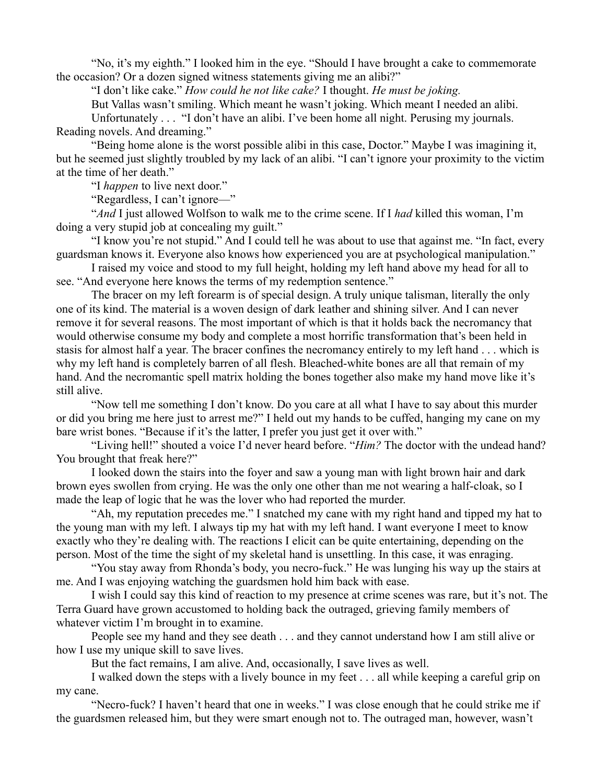"No, it's my eighth." I looked him in the eye. "Should I have brought a cake to commemorate the occasion? Or a dozen signed witness statements giving me an alibi?"

"I don't like cake." *How could he not like cake?* I thought. *He must be joking.*

But Vallas wasn't smiling. Which meant he wasn't joking. Which meant I needed an alibi.

Unfortunately . . . "I don't have an alibi. I've been home all night. Perusing my journals. Reading novels. And dreaming."

"Being home alone is the worst possible alibi in this case, Doctor." Maybe I was imagining it, but he seemed just slightly troubled by my lack of an alibi. "I can't ignore your proximity to the victim at the time of her death."

"I *happen* to live next door."

"Regardless, I can't ignore—"

"*And* I just allowed Wolfson to walk me to the crime scene. If I *had* killed this woman, I'm doing a very stupid job at concealing my guilt."

"I know you're not stupid." And I could tell he was about to use that against me. "In fact, every guardsman knows it. Everyone also knows how experienced you are at psychological manipulation."

I raised my voice and stood to my full height, holding my left hand above my head for all to see. "And everyone here knows the terms of my redemption sentence."

The bracer on my left forearm is of special design. A truly unique talisman, literally the only one of its kind. The material is a woven design of dark leather and shining silver. And I can never remove it for several reasons. The most important of which is that it holds back the necromancy that would otherwise consume my body and complete a most horrific transformation that's been held in stasis for almost half a year. The bracer confines the necromancy entirely to my left hand . . . which is why my left hand is completely barren of all flesh. Bleached-white bones are all that remain of my hand. And the necromantic spell matrix holding the bones together also make my hand move like it's still alive.

"Now tell me something I don't know. Do you care at all what I have to say about this murder or did you bring me here just to arrest me?" I held out my hands to be cuffed, hanging my cane on my bare wrist bones. "Because if it's the latter, I prefer you just get it over with."

"Living hell!" shouted a voice I'd never heard before. "*Him?* The doctor with the undead hand? You brought that freak here?"

I looked down the stairs into the foyer and saw a young man with light brown hair and dark brown eyes swollen from crying. He was the only one other than me not wearing a half-cloak, so I made the leap of logic that he was the lover who had reported the murder.

"Ah, my reputation precedes me." I snatched my cane with my right hand and tipped my hat to the young man with my left. I always tip my hat with my left hand. I want everyone I meet to know exactly who they're dealing with. The reactions I elicit can be quite entertaining, depending on the person. Most of the time the sight of my skeletal hand is unsettling. In this case, it was enraging.

"You stay away from Rhonda's body, you necro-fuck." He was lunging his way up the stairs at me. And I was enjoying watching the guardsmen hold him back with ease.

I wish I could say this kind of reaction to my presence at crime scenes was rare, but it's not. The Terra Guard have grown accustomed to holding back the outraged, grieving family members of whatever victim I'm brought in to examine.

People see my hand and they see death . . . and they cannot understand how I am still alive or how I use my unique skill to save lives.

But the fact remains, I am alive. And, occasionally, I save lives as well.

I walked down the steps with a lively bounce in my feet . . . all while keeping a careful grip on my cane.

"Necro-fuck? I haven't heard that one in weeks." I was close enough that he could strike me if the guardsmen released him, but they were smart enough not to. The outraged man, however, wasn't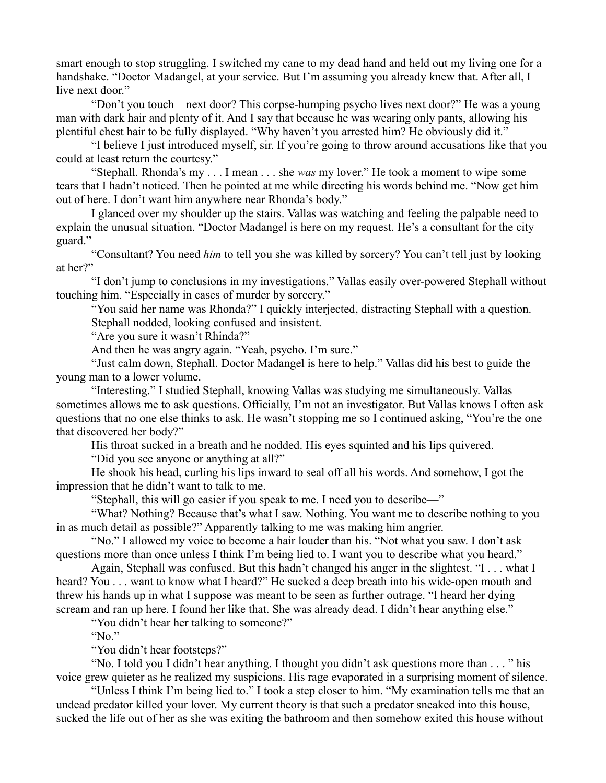smart enough to stop struggling. I switched my cane to my dead hand and held out my living one for a handshake. "Doctor Madangel, at your service. But I'm assuming you already knew that. After all, I live next door."

"Don't you touch—next door? This corpse-humping psycho lives next door?" He was a young man with dark hair and plenty of it. And I say that because he was wearing only pants, allowing his plentiful chest hair to be fully displayed. "Why haven't you arrested him? He obviously did it."

"I believe I just introduced myself, sir. If you're going to throw around accusations like that you could at least return the courtesy."

"Stephall. Rhonda's my . . . I mean . . . she *was* my lover." He took a moment to wipe some tears that I hadn't noticed. Then he pointed at me while directing his words behind me. "Now get him out of here. I don't want him anywhere near Rhonda's body."

I glanced over my shoulder up the stairs. Vallas was watching and feeling the palpable need to explain the unusual situation. "Doctor Madangel is here on my request. He's a consultant for the city guard."

"Consultant? You need *him* to tell you she was killed by sorcery? You can't tell just by looking at her?"

"I don't jump to conclusions in my investigations." Vallas easily over-powered Stephall without touching him. "Especially in cases of murder by sorcery."

"You said her name was Rhonda?" I quickly interjected, distracting Stephall with a question. Stephall nodded, looking confused and insistent.

"Are you sure it wasn't Rhinda?"

And then he was angry again. "Yeah, psycho. I'm sure."

"Just calm down, Stephall. Doctor Madangel is here to help." Vallas did his best to guide the young man to a lower volume.

"Interesting." I studied Stephall, knowing Vallas was studying me simultaneously. Vallas sometimes allows me to ask questions. Officially, I'm not an investigator. But Vallas knows I often ask questions that no one else thinks to ask. He wasn't stopping me so I continued asking, "You're the one that discovered her body?"

His throat sucked in a breath and he nodded. His eyes squinted and his lips quivered.

"Did you see anyone or anything at all?"

He shook his head, curling his lips inward to seal off all his words. And somehow, I got the impression that he didn't want to talk to me.

"Stephall, this will go easier if you speak to me. I need you to describe—"

"What? Nothing? Because that's what I saw. Nothing. You want me to describe nothing to you in as much detail as possible?" Apparently talking to me was making him angrier.

"No." I allowed my voice to become a hair louder than his. "Not what you saw. I don't ask questions more than once unless I think I'm being lied to. I want you to describe what you heard."

Again, Stephall was confused. But this hadn't changed his anger in the slightest. "I . . . what I heard? You . . . want to know what I heard?" He sucked a deep breath into his wide-open mouth and threw his hands up in what I suppose was meant to be seen as further outrage. "I heard her dying scream and ran up here. I found her like that. She was already dead. I didn't hear anything else."

"You didn't hear her talking to someone?"

"No."

"You didn't hear footsteps?"

"No. I told you I didn't hear anything. I thought you didn't ask questions more than . . . " his voice grew quieter as he realized my suspicions. His rage evaporated in a surprising moment of silence.

"Unless I think I'm being lied to." I took a step closer to him. "My examination tells me that an undead predator killed your lover. My current theory is that such a predator sneaked into this house, sucked the life out of her as she was exiting the bathroom and then somehow exited this house without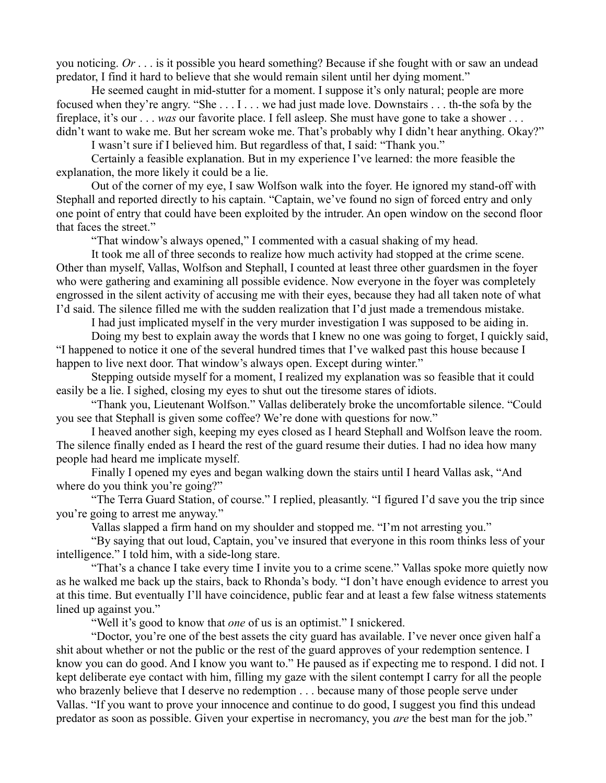you noticing. *Or* . . . is it possible you heard something? Because if she fought with or saw an undead predator, I find it hard to believe that she would remain silent until her dying moment."

He seemed caught in mid-stutter for a moment. I suppose it's only natural; people are more focused when they're angry. "She . . . I . . . we had just made love. Downstairs . . . th-the sofa by the fireplace, it's our . . . *was* our favorite place. I fell asleep. She must have gone to take a shower . . . didn't want to wake me. But her scream woke me. That's probably why I didn't hear anything. Okay?"

I wasn't sure if I believed him. But regardless of that, I said: "Thank you."

Certainly a feasible explanation. But in my experience I've learned: the more feasible the explanation, the more likely it could be a lie.

Out of the corner of my eye, I saw Wolfson walk into the foyer. He ignored my stand-off with Stephall and reported directly to his captain. "Captain, we've found no sign of forced entry and only one point of entry that could have been exploited by the intruder. An open window on the second floor that faces the street."

"That window's always opened," I commented with a casual shaking of my head.

It took me all of three seconds to realize how much activity had stopped at the crime scene. Other than myself, Vallas, Wolfson and Stephall, I counted at least three other guardsmen in the foyer who were gathering and examining all possible evidence. Now everyone in the foyer was completely engrossed in the silent activity of accusing me with their eyes, because they had all taken note of what I'd said. The silence filled me with the sudden realization that I'd just made a tremendous mistake.

I had just implicated myself in the very murder investigation I was supposed to be aiding in.

Doing my best to explain away the words that I knew no one was going to forget, I quickly said, "I happened to notice it one of the several hundred times that I've walked past this house because I happen to live next door. That window's always open. Except during winter."

Stepping outside myself for a moment, I realized my explanation was so feasible that it could easily be a lie. I sighed, closing my eyes to shut out the tiresome stares of idiots.

"Thank you, Lieutenant Wolfson." Vallas deliberately broke the uncomfortable silence. "Could you see that Stephall is given some coffee? We're done with questions for now."

I heaved another sigh, keeping my eyes closed as I heard Stephall and Wolfson leave the room. The silence finally ended as I heard the rest of the guard resume their duties. I had no idea how many people had heard me implicate myself.

Finally I opened my eyes and began walking down the stairs until I heard Vallas ask, "And where do you think you're going?"

"The Terra Guard Station, of course." I replied, pleasantly. "I figured I'd save you the trip since you're going to arrest me anyway."

Vallas slapped a firm hand on my shoulder and stopped me. "I'm not arresting you."

"By saying that out loud, Captain, you've insured that everyone in this room thinks less of your intelligence." I told him, with a side-long stare.

"That's a chance I take every time I invite you to a crime scene." Vallas spoke more quietly now as he walked me back up the stairs, back to Rhonda's body. "I don't have enough evidence to arrest you at this time. But eventually I'll have coincidence, public fear and at least a few false witness statements lined up against you."

"Well it's good to know that *one* of us is an optimist." I snickered.

"Doctor, you're one of the best assets the city guard has available. I've never once given half a shit about whether or not the public or the rest of the guard approves of your redemption sentence. I know you can do good. And I know you want to." He paused as if expecting me to respond. I did not. I kept deliberate eye contact with him, filling my gaze with the silent contempt I carry for all the people who brazenly believe that I deserve no redemption . . . because many of those people serve under Vallas. "If you want to prove your innocence and continue to do good, I suggest you find this undead predator as soon as possible. Given your expertise in necromancy, you *are* the best man for the job."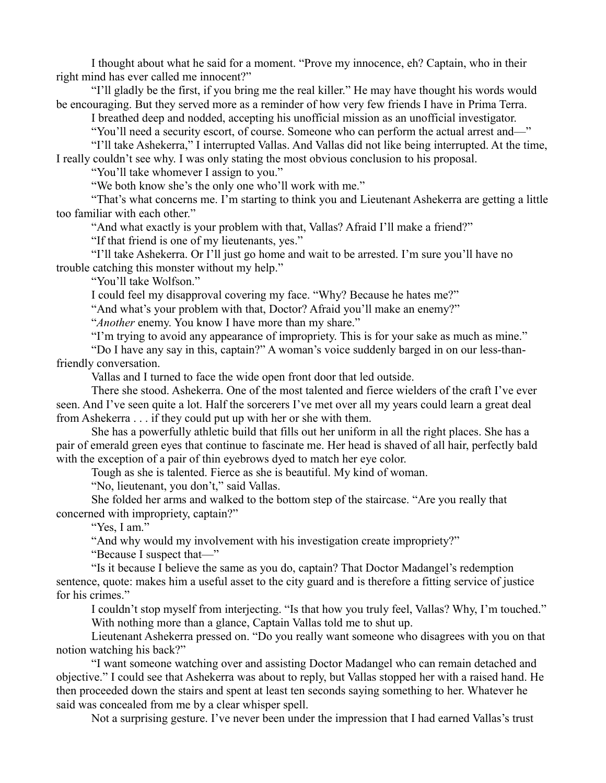I thought about what he said for a moment. "Prove my innocence, eh? Captain, who in their right mind has ever called me innocent?"

"I'll gladly be the first, if you bring me the real killer." He may have thought his words would be encouraging. But they served more as a reminder of how very few friends I have in Prima Terra.

I breathed deep and nodded, accepting his unofficial mission as an unofficial investigator.

"You'll need a security escort, of course. Someone who can perform the actual arrest and—"

"I'll take Ashekerra," I interrupted Vallas. And Vallas did not like being interrupted. At the time, I really couldn't see why. I was only stating the most obvious conclusion to his proposal.

"You'll take whomever I assign to you."

"We both know she's the only one who'll work with me."

"That's what concerns me. I'm starting to think you and Lieutenant Ashekerra are getting a little too familiar with each other."

"And what exactly is your problem with that, Vallas? Afraid I'll make a friend?"

"If that friend is one of my lieutenants, yes."

"I'll take Ashekerra. Or I'll just go home and wait to be arrested. I'm sure you'll have no trouble catching this monster without my help."

"You'll take Wolfson."

I could feel my disapproval covering my face. "Why? Because he hates me?"

"And what's your problem with that, Doctor? Afraid you'll make an enemy?"

"*Another* enemy. You know I have more than my share."

"I'm trying to avoid any appearance of impropriety. This is for your sake as much as mine."

"Do I have any say in this, captain?" A woman's voice suddenly barged in on our less-thanfriendly conversation.

Vallas and I turned to face the wide open front door that led outside.

There she stood. Ashekerra. One of the most talented and fierce wielders of the craft I've ever seen. And I've seen quite a lot. Half the sorcerers I've met over all my years could learn a great deal from Ashekerra . . . if they could put up with her or she with them.

She has a powerfully athletic build that fills out her uniform in all the right places. She has a pair of emerald green eyes that continue to fascinate me. Her head is shaved of all hair, perfectly bald with the exception of a pair of thin eyebrows dyed to match her eye color.

Tough as she is talented. Fierce as she is beautiful. My kind of woman.

"No, lieutenant, you don't," said Vallas.

She folded her arms and walked to the bottom step of the staircase. "Are you really that concerned with impropriety, captain?"

"Yes, I am."

"And why would my involvement with his investigation create impropriety?"

"Because I suspect that—"

"Is it because I believe the same as you do, captain? That Doctor Madangel's redemption sentence, quote: makes him a useful asset to the city guard and is therefore a fitting service of justice for his crimes."

I couldn't stop myself from interjecting. "Is that how you truly feel, Vallas? Why, I'm touched." With nothing more than a glance, Captain Vallas told me to shut up.

Lieutenant Ashekerra pressed on. "Do you really want someone who disagrees with you on that notion watching his back?"

"I want someone watching over and assisting Doctor Madangel who can remain detached and objective." I could see that Ashekerra was about to reply, but Vallas stopped her with a raised hand. He then proceeded down the stairs and spent at least ten seconds saying something to her. Whatever he said was concealed from me by a clear whisper spell.

Not a surprising gesture. I've never been under the impression that I had earned Vallas's trust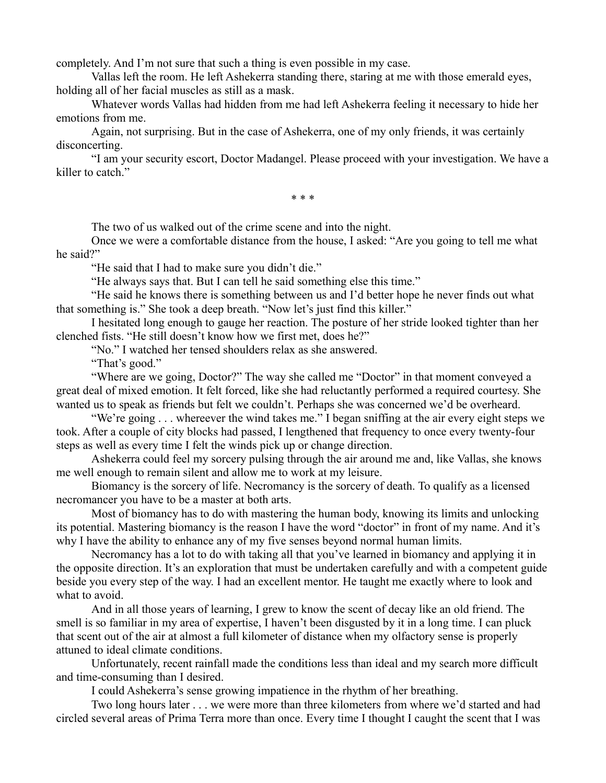completely. And I'm not sure that such a thing is even possible in my case.

Vallas left the room. He left Ashekerra standing there, staring at me with those emerald eyes, holding all of her facial muscles as still as a mask.

Whatever words Vallas had hidden from me had left Ashekerra feeling it necessary to hide her emotions from me.

Again, not surprising. But in the case of Ashekerra, one of my only friends, it was certainly disconcerting.

"I am your security escort, Doctor Madangel. Please proceed with your investigation. We have a killer to catch."

\* \* \*

The two of us walked out of the crime scene and into the night.

Once we were a comfortable distance from the house, I asked: "Are you going to tell me what he said?"

"He said that I had to make sure you didn't die."

"He always says that. But I can tell he said something else this time."

"He said he knows there is something between us and I'd better hope he never finds out what that something is." She took a deep breath. "Now let's just find this killer."

I hesitated long enough to gauge her reaction. The posture of her stride looked tighter than her clenched fists. "He still doesn't know how we first met, does he?"

"No." I watched her tensed shoulders relax as she answered.

"That's good."

"Where are we going, Doctor?" The way she called me "Doctor" in that moment conveyed a great deal of mixed emotion. It felt forced, like she had reluctantly performed a required courtesy. She wanted us to speak as friends but felt we couldn't. Perhaps she was concerned we'd be overheard.

"We're going . . . whereever the wind takes me." I began sniffing at the air every eight steps we took. After a couple of city blocks had passed, I lengthened that frequency to once every twenty-four steps as well as every time I felt the winds pick up or change direction.

Ashekerra could feel my sorcery pulsing through the air around me and, like Vallas, she knows me well enough to remain silent and allow me to work at my leisure.

Biomancy is the sorcery of life. Necromancy is the sorcery of death. To qualify as a licensed necromancer you have to be a master at both arts.

Most of biomancy has to do with mastering the human body, knowing its limits and unlocking its potential. Mastering biomancy is the reason I have the word "doctor" in front of my name. And it's why I have the ability to enhance any of my five senses beyond normal human limits.

Necromancy has a lot to do with taking all that you've learned in biomancy and applying it in the opposite direction. It's an exploration that must be undertaken carefully and with a competent guide beside you every step of the way. I had an excellent mentor. He taught me exactly where to look and what to avoid.

And in all those years of learning, I grew to know the scent of decay like an old friend. The smell is so familiar in my area of expertise, I haven't been disgusted by it in a long time. I can pluck that scent out of the air at almost a full kilometer of distance when my olfactory sense is properly attuned to ideal climate conditions.

Unfortunately, recent rainfall made the conditions less than ideal and my search more difficult and time-consuming than I desired.

I could Ashekerra's sense growing impatience in the rhythm of her breathing.

Two long hours later . . . we were more than three kilometers from where we'd started and had circled several areas of Prima Terra more than once. Every time I thought I caught the scent that I was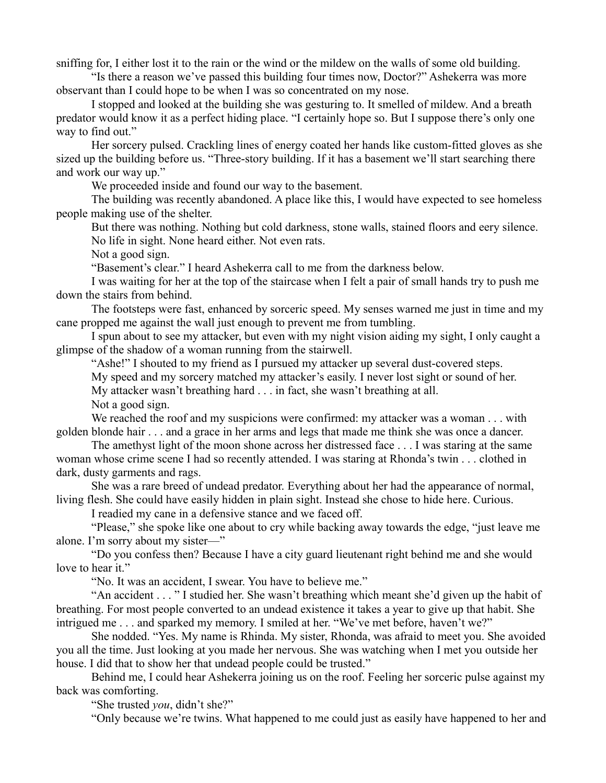sniffing for, I either lost it to the rain or the wind or the mildew on the walls of some old building.

"Is there a reason we've passed this building four times now, Doctor?" Ashekerra was more observant than I could hope to be when I was so concentrated on my nose.

I stopped and looked at the building she was gesturing to. It smelled of mildew. And a breath predator would know it as a perfect hiding place. "I certainly hope so. But I suppose there's only one way to find out."

Her sorcery pulsed. Crackling lines of energy coated her hands like custom-fitted gloves as she sized up the building before us. "Three-story building. If it has a basement we'll start searching there and work our way up."

We proceeded inside and found our way to the basement.

The building was recently abandoned. A place like this, I would have expected to see homeless people making use of the shelter.

But there was nothing. Nothing but cold darkness, stone walls, stained floors and eery silence. No life in sight. None heard either. Not even rats.

Not a good sign.

"Basement's clear." I heard Ashekerra call to me from the darkness below.

I was waiting for her at the top of the staircase when I felt a pair of small hands try to push me down the stairs from behind.

The footsteps were fast, enhanced by sorceric speed. My senses warned me just in time and my cane propped me against the wall just enough to prevent me from tumbling.

I spun about to see my attacker, but even with my night vision aiding my sight, I only caught a glimpse of the shadow of a woman running from the stairwell.

"Ashe!" I shouted to my friend as I pursued my attacker up several dust-covered steps.

My speed and my sorcery matched my attacker's easily. I never lost sight or sound of her.

My attacker wasn't breathing hard . . . in fact, she wasn't breathing at all.

Not a good sign.

We reached the roof and my suspicions were confirmed: my attacker was a woman . . . with golden blonde hair . . . and a grace in her arms and legs that made me think she was once a dancer.

The amethyst light of the moon shone across her distressed face . . . I was staring at the same woman whose crime scene I had so recently attended. I was staring at Rhonda's twin . . . clothed in dark, dusty garments and rags.

She was a rare breed of undead predator. Everything about her had the appearance of normal, living flesh. She could have easily hidden in plain sight. Instead she chose to hide here. Curious.

I readied my cane in a defensive stance and we faced off.

"Please," she spoke like one about to cry while backing away towards the edge, "just leave me alone. I'm sorry about my sister—"

"Do you confess then? Because I have a city guard lieutenant right behind me and she would love to hear it."

"No. It was an accident, I swear. You have to believe me."

"An accident . . . " I studied her. She wasn't breathing which meant she'd given up the habit of breathing. For most people converted to an undead existence it takes a year to give up that habit. She intrigued me . . . and sparked my memory. I smiled at her. "We've met before, haven't we?"

She nodded. "Yes. My name is Rhinda. My sister, Rhonda, was afraid to meet you. She avoided you all the time. Just looking at you made her nervous. She was watching when I met you outside her house. I did that to show her that undead people could be trusted."

Behind me, I could hear Ashekerra joining us on the roof. Feeling her sorceric pulse against my back was comforting.

"She trusted *you*, didn't she?"

"Only because we're twins. What happened to me could just as easily have happened to her and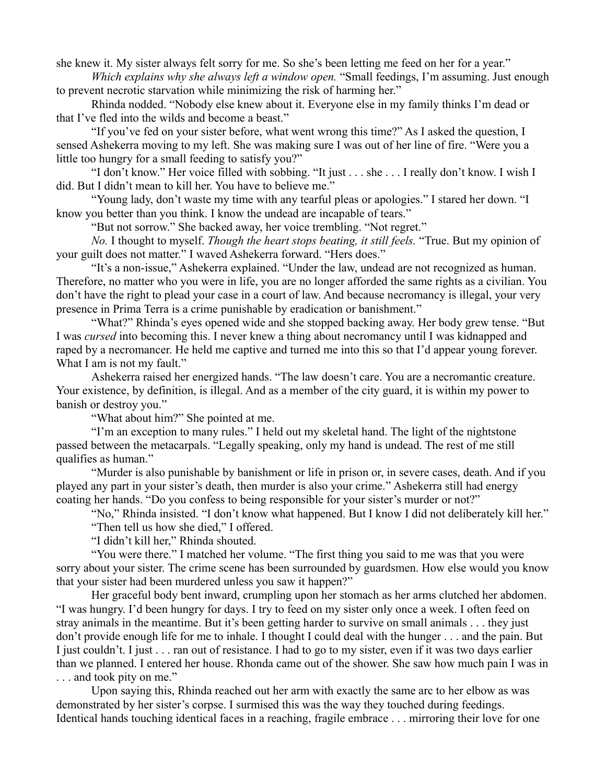she knew it. My sister always felt sorry for me. So she's been letting me feed on her for a year."

*Which explains why she always left a window open.* "Small feedings, I'm assuming. Just enough to prevent necrotic starvation while minimizing the risk of harming her."

Rhinda nodded. "Nobody else knew about it. Everyone else in my family thinks I'm dead or that I've fled into the wilds and become a beast."

"If you've fed on your sister before, what went wrong this time?" As I asked the question, I sensed Ashekerra moving to my left. She was making sure I was out of her line of fire. "Were you a little too hungry for a small feeding to satisfy you?"

"I don't know." Her voice filled with sobbing. "It just . . . she . . . I really don't know. I wish I did. But I didn't mean to kill her. You have to believe me."

"Young lady, don't waste my time with any tearful pleas or apologies." I stared her down. "I know you better than you think. I know the undead are incapable of tears."

"But not sorrow." She backed away, her voice trembling. "Not regret."

*No.* I thought to myself. *Though the heart stops beating, it still feels.* "True. But my opinion of your guilt does not matter." I waved Ashekerra forward. "Hers does."

"It's a non-issue," Ashekerra explained. "Under the law, undead are not recognized as human. Therefore, no matter who you were in life, you are no longer afforded the same rights as a civilian. You don't have the right to plead your case in a court of law. And because necromancy is illegal, your very presence in Prima Terra is a crime punishable by eradication or banishment."

"What?" Rhinda's eyes opened wide and she stopped backing away. Her body grew tense. "But I was *cursed* into becoming this. I never knew a thing about necromancy until I was kidnapped and raped by a necromancer. He held me captive and turned me into this so that I'd appear young forever. What I am is not my fault."

Ashekerra raised her energized hands. "The law doesn't care. You are a necromantic creature. Your existence, by definition, is illegal. And as a member of the city guard, it is within my power to banish or destroy you."

"What about him?" She pointed at me.

"I'm an exception to many rules." I held out my skeletal hand. The light of the nightstone passed between the metacarpals. "Legally speaking, only my hand is undead. The rest of me still qualifies as human."

"Murder is also punishable by banishment or life in prison or, in severe cases, death. And if you played any part in your sister's death, then murder is also your crime." Ashekerra still had energy coating her hands. "Do you confess to being responsible for your sister's murder or not?"

"No," Rhinda insisted. "I don't know what happened. But I know I did not deliberately kill her." "Then tell us how she died," I offered.

"I didn't kill her," Rhinda shouted.

"You were there." I matched her volume. "The first thing you said to me was that you were sorry about your sister. The crime scene has been surrounded by guardsmen. How else would you know that your sister had been murdered unless you saw it happen?"

Her graceful body bent inward, crumpling upon her stomach as her arms clutched her abdomen. "I was hungry. I'd been hungry for days. I try to feed on my sister only once a week. I often feed on stray animals in the meantime. But it's been getting harder to survive on small animals . . . they just don't provide enough life for me to inhale. I thought I could deal with the hunger . . . and the pain. But I just couldn't. I just . . . ran out of resistance. I had to go to my sister, even if it was two days earlier than we planned. I entered her house. Rhonda came out of the shower. She saw how much pain I was in . . . and took pity on me."

Upon saying this, Rhinda reached out her arm with exactly the same arc to her elbow as was demonstrated by her sister's corpse. I surmised this was the way they touched during feedings. Identical hands touching identical faces in a reaching, fragile embrace . . . mirroring their love for one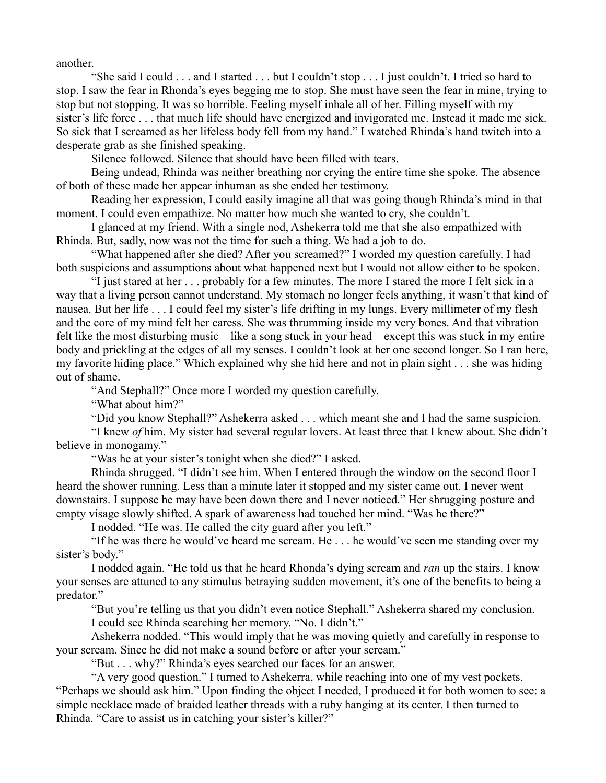another.

"She said I could . . . and I started . . . but I couldn't stop . . . I just couldn't. I tried so hard to stop. I saw the fear in Rhonda's eyes begging me to stop. She must have seen the fear in mine, trying to stop but not stopping. It was so horrible. Feeling myself inhale all of her. Filling myself with my sister's life force . . . that much life should have energized and invigorated me. Instead it made me sick. So sick that I screamed as her lifeless body fell from my hand." I watched Rhinda's hand twitch into a desperate grab as she finished speaking.

Silence followed. Silence that should have been filled with tears.

Being undead, Rhinda was neither breathing nor crying the entire time she spoke. The absence of both of these made her appear inhuman as she ended her testimony.

Reading her expression, I could easily imagine all that was going though Rhinda's mind in that moment. I could even empathize. No matter how much she wanted to cry, she couldn't.

I glanced at my friend. With a single nod, Ashekerra told me that she also empathized with Rhinda. But, sadly, now was not the time for such a thing. We had a job to do.

"What happened after she died? After you screamed?" I worded my question carefully. I had both suspicions and assumptions about what happened next but I would not allow either to be spoken.

"I just stared at her . . . probably for a few minutes. The more I stared the more I felt sick in a way that a living person cannot understand. My stomach no longer feels anything, it wasn't that kind of nausea. But her life . . . I could feel my sister's life drifting in my lungs. Every millimeter of my flesh and the core of my mind felt her caress. She was thrumming inside my very bones. And that vibration felt like the most disturbing music—like a song stuck in your head—except this was stuck in my entire body and prickling at the edges of all my senses. I couldn't look at her one second longer. So I ran here, my favorite hiding place." Which explained why she hid here and not in plain sight . . . she was hiding out of shame.

"And Stephall?" Once more I worded my question carefully.

"What about him?"

"Did you know Stephall?" Ashekerra asked . . . which meant she and I had the same suspicion.

"I knew *of* him. My sister had several regular lovers. At least three that I knew about. She didn't believe in monogamy."

"Was he at your sister's tonight when she died?" I asked.

Rhinda shrugged. "I didn't see him. When I entered through the window on the second floor I heard the shower running. Less than a minute later it stopped and my sister came out. I never went downstairs. I suppose he may have been down there and I never noticed." Her shrugging posture and empty visage slowly shifted. A spark of awareness had touched her mind. "Was he there?"

I nodded. "He was. He called the city guard after you left."

"If he was there he would've heard me scream. He . . . he would've seen me standing over my sister's body."

I nodded again. "He told us that he heard Rhonda's dying scream and *ran* up the stairs. I know your senses are attuned to any stimulus betraying sudden movement, it's one of the benefits to being a predator."

"But you're telling us that you didn't even notice Stephall." Ashekerra shared my conclusion. I could see Rhinda searching her memory. "No. I didn't."

Ashekerra nodded. "This would imply that he was moving quietly and carefully in response to your scream. Since he did not make a sound before or after your scream."

"But . . . why?" Rhinda's eyes searched our faces for an answer.

"A very good question." I turned to Ashekerra, while reaching into one of my vest pockets. "Perhaps we should ask him." Upon finding the object I needed, I produced it for both women to see: a simple necklace made of braided leather threads with a ruby hanging at its center. I then turned to Rhinda. "Care to assist us in catching your sister's killer?"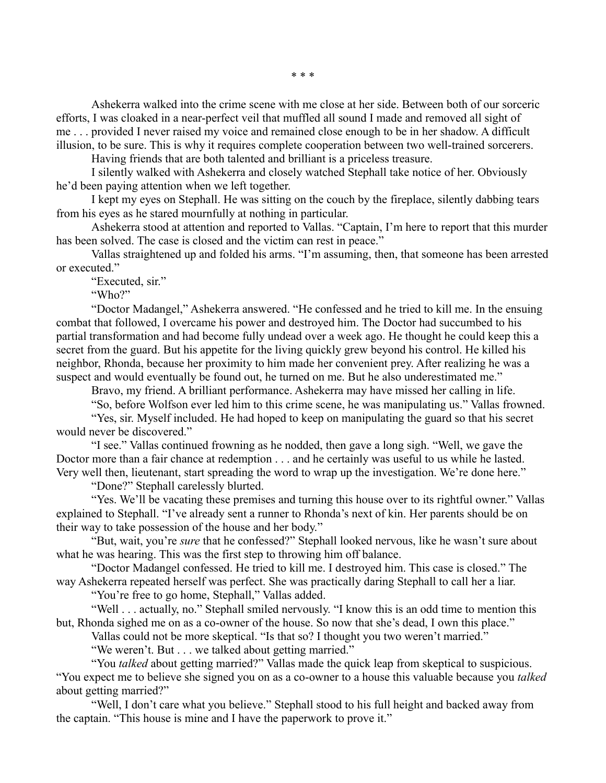\* \* \*

Ashekerra walked into the crime scene with me close at her side. Between both of our sorceric efforts, I was cloaked in a near-perfect veil that muffled all sound I made and removed all sight of me . . . provided I never raised my voice and remained close enough to be in her shadow. A difficult illusion, to be sure. This is why it requires complete cooperation between two well-trained sorcerers.

Having friends that are both talented and brilliant is a priceless treasure.

I silently walked with Ashekerra and closely watched Stephall take notice of her. Obviously he'd been paying attention when we left together.

I kept my eyes on Stephall. He was sitting on the couch by the fireplace, silently dabbing tears from his eyes as he stared mournfully at nothing in particular.

Ashekerra stood at attention and reported to Vallas. "Captain, I'm here to report that this murder has been solved. The case is closed and the victim can rest in peace."

Vallas straightened up and folded his arms. "I'm assuming, then, that someone has been arrested or executed."

"Executed, sir."

"Who?"

"Doctor Madangel," Ashekerra answered. "He confessed and he tried to kill me. In the ensuing combat that followed, I overcame his power and destroyed him. The Doctor had succumbed to his partial transformation and had become fully undead over a week ago. He thought he could keep this a secret from the guard. But his appetite for the living quickly grew beyond his control. He killed his neighbor, Rhonda, because her proximity to him made her convenient prey. After realizing he was a suspect and would eventually be found out, he turned on me. But he also underestimated me."

Bravo, my friend. A brilliant performance. Ashekerra may have missed her calling in life.

"So, before Wolfson ever led him to this crime scene, he was manipulating us." Vallas frowned.

"Yes, sir. Myself included. He had hoped to keep on manipulating the guard so that his secret would never be discovered."

"I see." Vallas continued frowning as he nodded, then gave a long sigh. "Well, we gave the Doctor more than a fair chance at redemption . . . and he certainly was useful to us while he lasted. Very well then, lieutenant, start spreading the word to wrap up the investigation. We're done here."

"Done?" Stephall carelessly blurted.

"Yes. We'll be vacating these premises and turning this house over to its rightful owner." Vallas explained to Stephall. "I've already sent a runner to Rhonda's next of kin. Her parents should be on their way to take possession of the house and her body."

"But, wait, you're *sure* that he confessed?" Stephall looked nervous, like he wasn't sure about what he was hearing. This was the first step to throwing him off balance.

"Doctor Madangel confessed. He tried to kill me. I destroyed him. This case is closed." The way Ashekerra repeated herself was perfect. She was practically daring Stephall to call her a liar.

"You're free to go home, Stephall," Vallas added.

"Well . . . actually, no." Stephall smiled nervously. "I know this is an odd time to mention this but, Rhonda sighed me on as a co-owner of the house. So now that she's dead, I own this place."

Vallas could not be more skeptical. "Is that so? I thought you two weren't married."

"We weren't. But . . . we talked about getting married."

"You *talked* about getting married?" Vallas made the quick leap from skeptical to suspicious. "You expect me to believe she signed you on as a co-owner to a house this valuable because you *talked* about getting married?"

"Well, I don't care what you believe." Stephall stood to his full height and backed away from the captain. "This house is mine and I have the paperwork to prove it."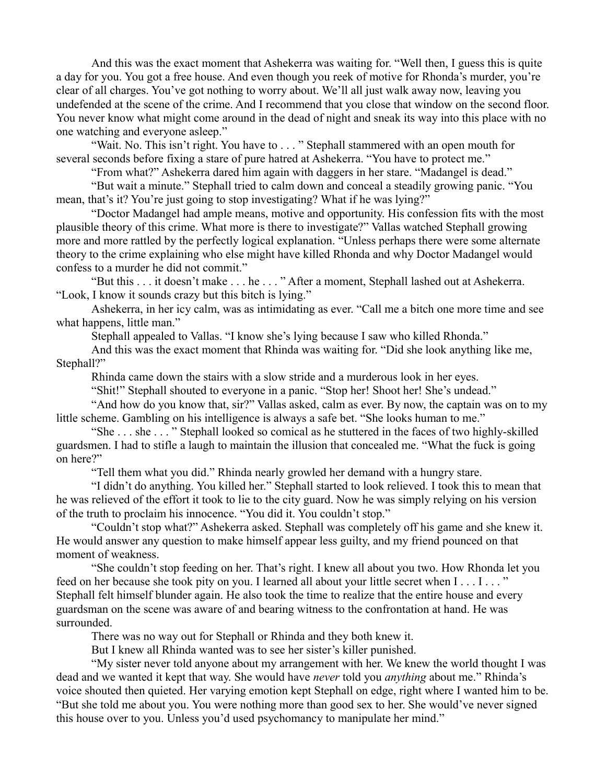And this was the exact moment that Ashekerra was waiting for. "Well then, I guess this is quite a day for you. You got a free house. And even though you reek of motive for Rhonda's murder, you're clear of all charges. You've got nothing to worry about. We'll all just walk away now, leaving you undefended at the scene of the crime. And I recommend that you close that window on the second floor. You never know what might come around in the dead of night and sneak its way into this place with no one watching and everyone asleep."

"Wait. No. This isn't right. You have to . . . " Stephall stammered with an open mouth for several seconds before fixing a stare of pure hatred at Ashekerra. "You have to protect me."

"From what?" Ashekerra dared him again with daggers in her stare. "Madangel is dead."

"But wait a minute." Stephall tried to calm down and conceal a steadily growing panic. "You mean, that's it? You're just going to stop investigating? What if he was lying?"

"Doctor Madangel had ample means, motive and opportunity. His confession fits with the most plausible theory of this crime. What more is there to investigate?" Vallas watched Stephall growing more and more rattled by the perfectly logical explanation. "Unless perhaps there were some alternate theory to the crime explaining who else might have killed Rhonda and why Doctor Madangel would confess to a murder he did not commit."

"But this . . . it doesn't make . . . he . . . " After a moment, Stephall lashed out at Ashekerra. "Look, I know it sounds crazy but this bitch is lying."

Ashekerra, in her icy calm, was as intimidating as ever. "Call me a bitch one more time and see what happens, little man."

Stephall appealed to Vallas. "I know she's lying because I saw who killed Rhonda."

And this was the exact moment that Rhinda was waiting for. "Did she look anything like me, Stephall?"

Rhinda came down the stairs with a slow stride and a murderous look in her eyes.

"Shit!" Stephall shouted to everyone in a panic. "Stop her! Shoot her! She's undead."

"And how do you know that, sir?" Vallas asked, calm as ever. By now, the captain was on to my little scheme. Gambling on his intelligence is always a safe bet. "She looks human to me."

"She . . . she . . . " Stephall looked so comical as he stuttered in the faces of two highly-skilled guardsmen. I had to stifle a laugh to maintain the illusion that concealed me. "What the fuck is going on here?"

"Tell them what you did." Rhinda nearly growled her demand with a hungry stare.

"I didn't do anything. You killed her." Stephall started to look relieved. I took this to mean that he was relieved of the effort it took to lie to the city guard. Now he was simply relying on his version of the truth to proclaim his innocence. "You did it. You couldn't stop."

"Couldn't stop what?" Ashekerra asked. Stephall was completely off his game and she knew it. He would answer any question to make himself appear less guilty, and my friend pounced on that moment of weakness.

"She couldn't stop feeding on her. That's right. I knew all about you two. How Rhonda let you feed on her because she took pity on you. I learned all about your little secret when I . . . I . . . " Stephall felt himself blunder again. He also took the time to realize that the entire house and every guardsman on the scene was aware of and bearing witness to the confrontation at hand. He was surrounded.

There was no way out for Stephall or Rhinda and they both knew it.

But I knew all Rhinda wanted was to see her sister's killer punished.

"My sister never told anyone about my arrangement with her. We knew the world thought I was dead and we wanted it kept that way. She would have *never* told you *anything* about me." Rhinda's voice shouted then quieted. Her varying emotion kept Stephall on edge, right where I wanted him to be. "But she told me about you. You were nothing more than good sex to her. She would've never signed this house over to you. Unless you'd used psychomancy to manipulate her mind."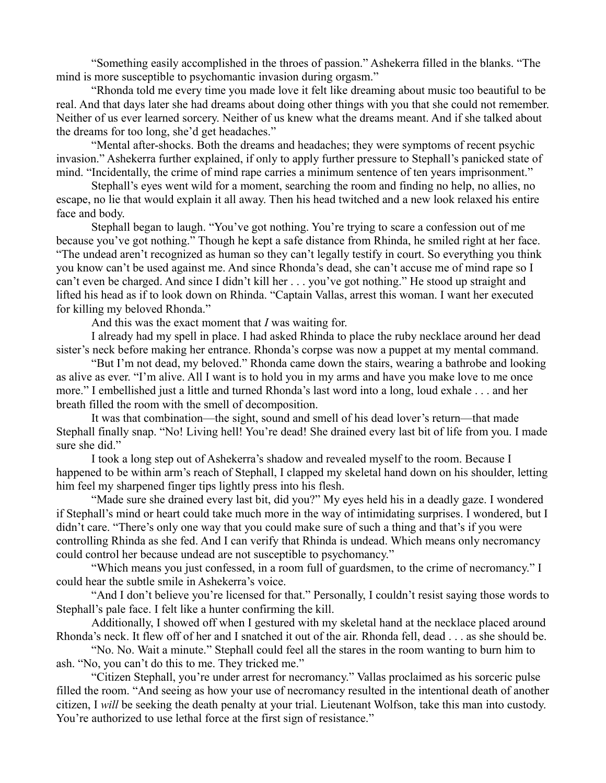"Something easily accomplished in the throes of passion." Ashekerra filled in the blanks. "The mind is more susceptible to psychomantic invasion during orgasm."

"Rhonda told me every time you made love it felt like dreaming about music too beautiful to be real. And that days later she had dreams about doing other things with you that she could not remember. Neither of us ever learned sorcery. Neither of us knew what the dreams meant. And if she talked about the dreams for too long, she'd get headaches."

"Mental after-shocks. Both the dreams and headaches; they were symptoms of recent psychic invasion." Ashekerra further explained, if only to apply further pressure to Stephall's panicked state of mind. "Incidentally, the crime of mind rape carries a minimum sentence of ten years imprisonment."

Stephall's eyes went wild for a moment, searching the room and finding no help, no allies, no escape, no lie that would explain it all away. Then his head twitched and a new look relaxed his entire face and body.

Stephall began to laugh. "You've got nothing. You're trying to scare a confession out of me because you've got nothing." Though he kept a safe distance from Rhinda, he smiled right at her face. "The undead aren't recognized as human so they can't legally testify in court. So everything you think you know can't be used against me. And since Rhonda's dead, she can't accuse me of mind rape so I can't even be charged. And since I didn't kill her . . . you've got nothing." He stood up straight and lifted his head as if to look down on Rhinda. "Captain Vallas, arrest this woman. I want her executed for killing my beloved Rhonda."

And this was the exact moment that *I* was waiting for.

I already had my spell in place. I had asked Rhinda to place the ruby necklace around her dead sister's neck before making her entrance. Rhonda's corpse was now a puppet at my mental command.

"But I'm not dead, my beloved." Rhonda came down the stairs, wearing a bathrobe and looking as alive as ever. "I'm alive. All I want is to hold you in my arms and have you make love to me once more." I embellished just a little and turned Rhonda's last word into a long, loud exhale . . . and her breath filled the room with the smell of decomposition.

It was that combination—the sight, sound and smell of his dead lover's return—that made Stephall finally snap. "No! Living hell! You're dead! She drained every last bit of life from you. I made sure she did."

I took a long step out of Ashekerra's shadow and revealed myself to the room. Because I happened to be within arm's reach of Stephall, I clapped my skeletal hand down on his shoulder, letting him feel my sharpened finger tips lightly press into his flesh.

"Made sure she drained every last bit, did you?" My eyes held his in a deadly gaze. I wondered if Stephall's mind or heart could take much more in the way of intimidating surprises. I wondered, but I didn't care. "There's only one way that you could make sure of such a thing and that's if you were controlling Rhinda as she fed. And I can verify that Rhinda is undead. Which means only necromancy could control her because undead are not susceptible to psychomancy."

"Which means you just confessed, in a room full of guardsmen, to the crime of necromancy." I could hear the subtle smile in Ashekerra's voice.

"And I don't believe you're licensed for that." Personally, I couldn't resist saying those words to Stephall's pale face. I felt like a hunter confirming the kill.

Additionally, I showed off when I gestured with my skeletal hand at the necklace placed around Rhonda's neck. It flew off of her and I snatched it out of the air. Rhonda fell, dead . . . as she should be.

"No. No. Wait a minute." Stephall could feel all the stares in the room wanting to burn him to ash. "No, you can't do this to me. They tricked me."

"Citizen Stephall, you're under arrest for necromancy." Vallas proclaimed as his sorceric pulse filled the room. "And seeing as how your use of necromancy resulted in the intentional death of another citizen, I *will* be seeking the death penalty at your trial. Lieutenant Wolfson, take this man into custody. You're authorized to use lethal force at the first sign of resistance."